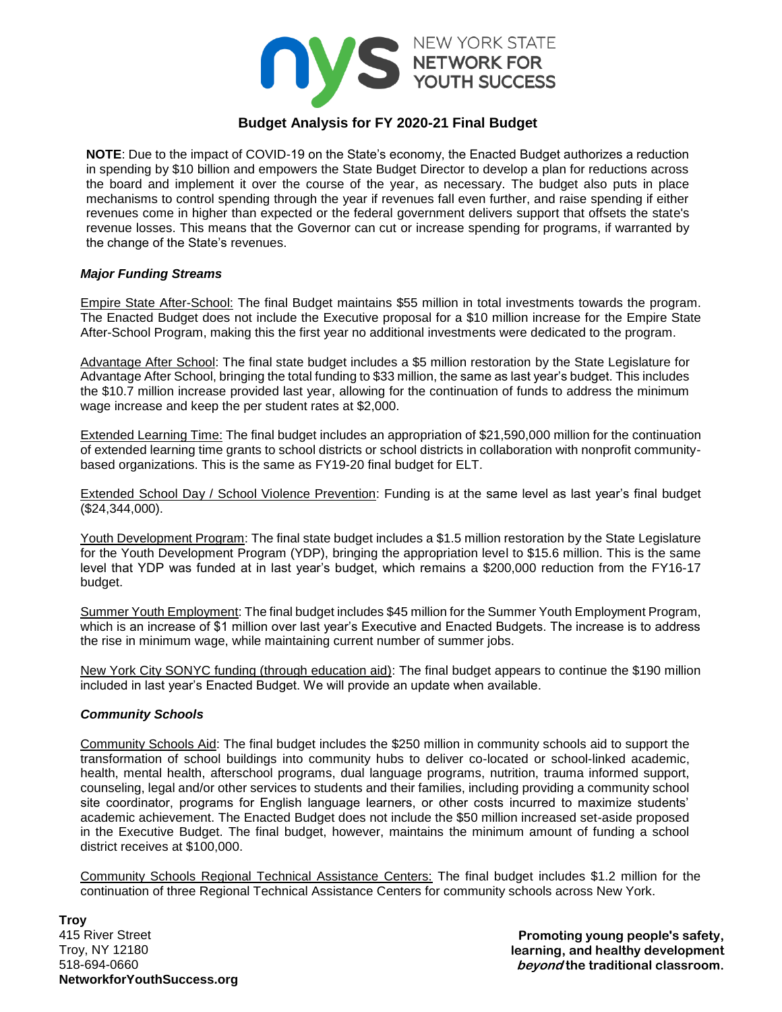

# **Budget Analysis for FY 2020-21 Final Budget**

**NOTE**: Due to the impact of COVID-19 on the State's economy, the Enacted Budget authorizes a reduction in spending by \$10 billion and empowers the State Budget Director to develop a plan for reductions across the board and implement it over the course of the year, as necessary. The budget also puts in place mechanisms to control spending through the year if revenues fall even further, and raise spending if either revenues come in higher than expected or the federal government delivers support that offsets the state's revenue losses. This means that the Governor can cut or increase spending for programs, if warranted by the change of the State's revenues.

#### *Major Funding Streams*

Empire State After-School: The final Budget maintains \$55 million in total investments towards the program. The Enacted Budget does not include the Executive proposal for a \$10 million increase for the Empire State After-School Program, making this the first year no additional investments were dedicated to the program.

Advantage After School: The final state budget includes a \$5 million restoration by the State Legislature for Advantage After School, bringing the total funding to \$33 million, the same as last year's budget. This includes the \$10.7 million increase provided last year, allowing for the continuation of funds to address the minimum wage increase and keep the per student rates at \$2,000.

Extended Learning Time: The final budget includes an appropriation of \$21,590,000 million for the continuation of extended learning time grants to school districts or school districts in collaboration with nonprofit communitybased organizations. This is the same as FY19-20 final budget for ELT.

Extended School Day / School Violence Prevention: Funding is at the same level as last year's final budget (\$24,344,000).

Youth Development Program: The final state budget includes a \$1.5 million restoration by the State Legislature for the Youth Development Program (YDP), bringing the appropriation level to \$15.6 million. This is the same level that YDP was funded at in last year's budget, which remains a \$200,000 reduction from the FY16-17 budget.

Summer Youth Employment: The final budget includes \$45 million for the Summer Youth Employment Program, which is an increase of \$1 million over last year's Executive and Enacted Budgets. The increase is to address the rise in minimum wage, while maintaining current number of summer jobs.

New York City SONYC funding (through education aid): The final budget appears to continue the \$190 million included in last year's Enacted Budget. We will provide an update when available.

## *Community Schools*

Community Schools Aid: The final budget includes the \$250 million in community schools aid to support the transformation of school buildings into community hubs to deliver co-located or school-linked academic, health, mental health, afterschool programs, dual language programs, nutrition, trauma informed support, counseling, legal and/or other services to students and their families, including providing a community school site coordinator, programs for English language learners, or other costs incurred to maximize students' academic achievement. The Enacted Budget does not include the \$50 million increased set-aside proposed in the Executive Budget. The final budget, however, maintains the minimum amount of funding a school district receives at \$100,000.

Community Schools Regional Technical Assistance Centers: The final budget includes \$1.2 million for the continuation of three Regional Technical Assistance Centers for community schools across New York.

**Troy** 415 River Street Troy, NY 12180 518-694-0660 **NetworkforYouthSuccess.org**

**Promoting young people's safety, learning, and healthy development beyond the traditional classroom.**